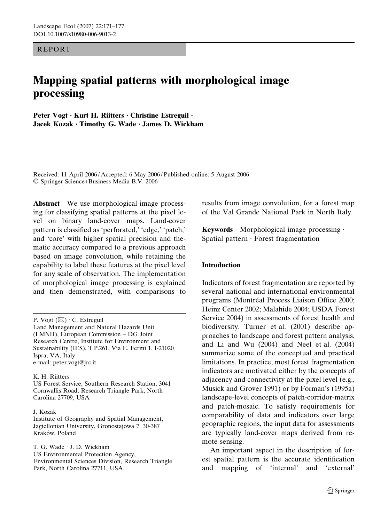## REPORT

# Mapping spatial patterns with morphological image processing

Peter Vogt · Kurt H. Riitters · Christine Estreguil · Jacek Kozak · Timothy G. Wade · James D. Wickham

Received: 11 April 2006 / Accepted: 6 May 2006 / Published online: 5 August 2006 Springer Science+Business Media B.V. 2006

Abstract We use morphological image processing for classifying spatial patterns at the pixel level on binary land-cover maps. Land-cover pattern is classified as 'perforated,' 'edge,' 'patch,' and 'core' with higher spatial precision and thematic accuracy compared to a previous approach based on image convolution, while retaining the capability to label these features at the pixel level for any scale of observation. The implementation of morphological image processing is explained and then demonstrated, with comparisons to

#### K. H. Riitters

US Forest Service, Southern Research Station, 3041 Cornwallis Road, Research Triangle Park, North Carolina 27709, USA

#### J. Kozak

Institute of Geography and Spatial Management, Jagiellonian University, Gronostajowa 7, 30-387 Kraków, Poland

T. G. Wade · J. D. Wickham US Environmental Protection Agency, Environmental Sciences Division, Research Triangle Park, North Carolina 27711, USA

results from image convolution, for a forest map of the Val Grande National Park in North Italy.

Keywords Morphological image processing  $\cdot$ Spatial pattern  $\cdot$  Forest fragmentation

## Introduction

Indicators of forest fragmentation are reported by several national and international environmental programs (Montréal Process Liaison Office 2000; Heinz Center 2002; Malahide 2004; USDA Forest Service 2004) in assessments of forest health and biodiversity. Turner et al. (2001) describe approaches to landscape and forest pattern analysis, and Li and Wu (2004) and Neel et al. (2004) summarize some of the conceptual and practical limitations. In practice, most forest fragmentation indicators are motivated either by the concepts of adjacency and connectivity at the pixel level (e.g., Musick and Grover 1991) or by Forman's (1995a) landscape-level concepts of patch-corridor-matrix and patch-mosaic. To satisfy requirements for comparability of data and indicators over large geographic regions, the input data for assessments are typically land-cover maps derived from remote sensing.

An important aspect in the description of forest spatial pattern is the accurate identification and mapping of 'internal' and 'external'

P. Vogt  $(\boxtimes) \cdot C$ . Estreguil Land Management and Natural Hazards Unit (LMNH), European Commission – DG Joint Research Centre, Institute for Environment and Sustainability (IES), T.P.261, Via E. Fermi 1, I-21020 Ispra, VA, Italy e-mail: peter.vogt@jrc.it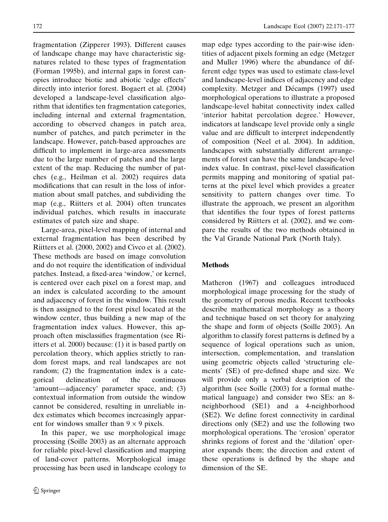fragmentation (Zipperer 1993). Different causes of landscape change may have characteristic signatures related to these types of fragmentation (Forman 1995b), and internal gaps in forest canopies introduce biotic and abiotic 'edge effects' directly into interior forest. Bogaert et al. (2004) developed a landscape-level classification algorithm that identifies ten fragmentation categories, including internal and external fragmentation, according to observed changes in patch area, number of patches, and patch perimeter in the landscape. However, patch-based approaches are difficult to implement in large-area assessments due to the large number of patches and the large extent of the map. Reducing the number of patches (e.g., Heilman et al. 2002) requires data modifications that can result in the loss of information about small patches, and subdividing the map (e.g., Riitters et al. 2004) often truncates individual patches, which results in inaccurate estimates of patch size and shape.

Large-area, pixel-level mapping of internal and external fragmentation has been described by Riitters et al. (2000, 2002) and Civco et al. (2002). These methods are based on image convolution and do not require the identification of individual patches. Instead, a fixed-area 'window,' or kernel, is centered over each pixel on a forest map, and an index is calculated according to the amount and adjacency of forest in the window. This result is then assigned to the forest pixel located at the window center, thus building a new map of the fragmentation index values. However, this approach often misclassifies fragmentation (see Riitters et al. 2000) because: (1) it is based partly on percolation theory, which applies strictly to random forest maps, and real landscapes are not random; (2) the fragmentation index is a categorical delineation of the continuous 'amount—adjacency' parameter space, and; (3) contextual information from outside the window cannot be considered, resulting in unreliable index estimates which becomes increasingly apparent for windows smaller than  $9 \times 9$  pixels.

In this paper, we use morphological image processing (Soille 2003) as an alternate approach for reliable pixel-level classification and mapping of land-cover patterns. Morphological image processing has been used in landscape ecology to map edge types according to the pair-wise identities of adjacent pixels forming an edge (Metzger and Muller 1996) where the abundance of different edge types was used to estimate class-level and landscape-level indices of adjacency and edge complexity. Metzger and Décamps (1997) used morphological operations to illustrate a proposed landscape-level habitat connectivity index called 'interior habitat percolation degree.' However, indicators at landscape level provide only a single value and are difficult to interpret independently of composition (Neel et al. 2004). In addition, landscapes with substantially different arrangements of forest can have the same landscape-level index value. In contrast, pixel-level classification permits mapping and monitoring of spatial patterns at the pixel level which provides a greater sensitivity to pattern changes over time. To illustrate the approach, we present an algorithm that identifies the four types of forest patterns considered by Riitters et al. (2002), and we compare the results of the two methods obtained in the Val Grande National Park (North Italy).

## **Methods**

Matheron (1967) and colleagues introduced morphological image processing for the study of the geometry of porous media. Recent textbooks describe mathematical morphology as a theory and technique based on set theory for analyzing the shape and form of objects (Soille 2003). An algorithm to classify forest patterns is defined by a sequence of logical operations such as union, intersection, complementation, and translation using geometric objects called 'structuring elements' (SE) of pre-defined shape and size. We will provide only a verbal description of the algorithm (see Soille (2003) for a formal mathematical language) and consider two SEs: an 8 neighborhood (SE1) and a 4-neighborhood (SE2). We define forest connectivity in cardinal directions only (SE2) and use the following two morphological operations. The 'erosion' operator shrinks regions of forest and the 'dilation' operator expands them; the direction and extent of these operations is defined by the shape and dimension of the SE.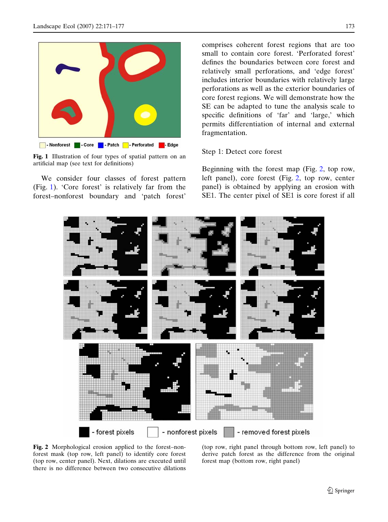

Fig. 1 Illustration of four types of spatial pattern on an artificial map (see text for definitions)

We consider four classes of forest pattern (Fig. 1). 'Core forest' is relatively far from the forest–nonforest boundary and 'patch forest' comprises coherent forest regions that are too small to contain core forest. 'Perforated forest' defines the boundaries between core forest and relatively small perforations, and 'edge forest' includes interior boundaries with relatively large perforations as well as the exterior boundaries of core forest regions. We will demonstrate how the SE can be adapted to tune the analysis scale to specific definitions of 'far' and 'large,' which permits differentiation of internal and external fragmentation.

## Step 1: Detect core forest

Beginning with the forest map (Fig. 2, top row, left panel), core forest (Fig. 2, top row, center panel) is obtained by applying an erosion with SE1. The center pixel of SE1 is core forest if all



Fig. 2 Morphological erosion applied to the forest–nonforest mask (top row, left panel) to identify core forest (top row, center panel). Next, dilations are executed until there is no difference between two consecutive dilations

(top row, right panel through bottom row, left panel) to derive patch forest as the difference from the original forest map (bottom row, right panel)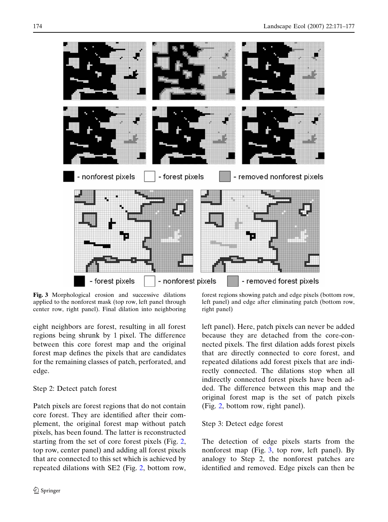

Fig. 3 Morphological erosion and successive dilations applied to the nonforest mask (top row, left panel through center row, right panel). Final dilation into neighboring

eight neighbors are forest, resulting in all forest regions being shrunk by 1 pixel. The difference between this core forest map and the original forest map defines the pixels that are candidates for the remaining classes of patch, perforated, and edge.

# Step 2: Detect patch forest

Patch pixels are forest regions that do not contain core forest. They are identified after their complement, the original forest map without patch pixels, has been found. The latter is reconstructed starting from the set of core forest pixels (Fig. 2, top row, center panel) and adding all forest pixels that are connected to this set which is achieved by repeated dilations with SE2 (Fig. 2, bottom row,

forest regions showing patch and edge pixels (bottom row, left panel) and edge after eliminating patch (bottom row, right panel)

left panel). Here, patch pixels can never be added because they are detached from the core-connected pixels. The first dilation adds forest pixels that are directly connected to core forest, and repeated dilations add forest pixels that are indirectly connected. The dilations stop when all indirectly connected forest pixels have been added. The difference between this map and the original forest map is the set of patch pixels (Fig. 2, bottom row, right panel).

## Step 3: Detect edge forest

The detection of edge pixels starts from the nonforest map (Fig. 3, top row, left panel). By analogy to Step 2, the nonforest patches are identified and removed. Edge pixels can then be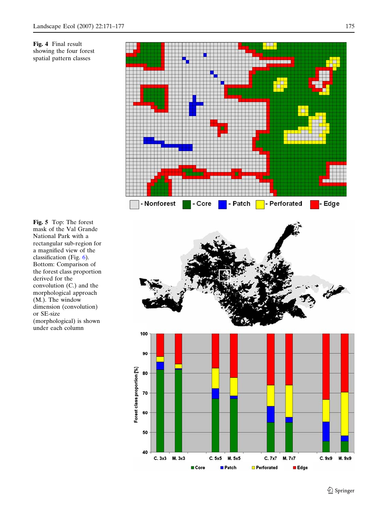



Fig. 5 Top: The forest mask of the Val Grande National Park with a rectangular sub-region for a magnified view of the classification (Fig. 6). Bottom: Comparison of the forest class proportion derived for the convolution (C.) and the morphological approach (M.). The window dimension (convolution) or SE-size (morphological) is shown under each column



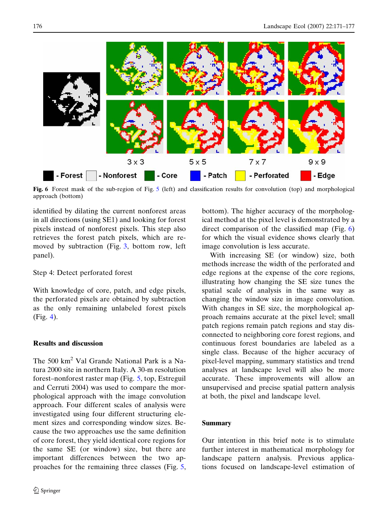

Fig. 6 Forest mask of the sub-region of Fig. 5 (left) and classification results for convolution (top) and morphological approach (bottom)

identified by dilating the current nonforest areas in all directions (using SE1) and looking for forest pixels instead of nonforest pixels. This step also retrieves the forest patch pixels, which are removed by subtraction (Fig. 3, bottom row, left panel).

## Step 4: Detect perforated forest

With knowledge of core, patch, and edge pixels, the perforated pixels are obtained by subtraction as the only remaining unlabeled forest pixels (Fig. 4).

## Results and discussion

The 500 km<sup>2</sup> Val Grande National Park is a Natura 2000 site in northern Italy. A 30-m resolution forest–nonforest raster map (Fig. 5, top, Estreguil and Cerruti 2004) was used to compare the morphological approach with the image convolution approach. Four different scales of analysis were investigated using four different structuring element sizes and corresponding window sizes. Because the two approaches use the same definition of core forest, they yield identical core regions for the same SE (or window) size, but there are important differences between the two approaches for the remaining three classes (Fig. 5,

bottom). The higher accuracy of the morphological method at the pixel level is demonstrated by a direct comparison of the classified map (Fig. 6) for which the visual evidence shows clearly that image convolution is less accurate.

With increasing SE (or window) size, both methods increase the width of the perforated and edge regions at the expense of the core regions, illustrating how changing the SE size tunes the spatial scale of analysis in the same way as changing the window size in image convolution. With changes in SE size, the morphological approach remains accurate at the pixel level; small patch regions remain patch regions and stay disconnected to neighboring core forest regions, and continuous forest boundaries are labeled as a single class. Because of the higher accuracy of pixel-level mapping, summary statistics and trend analyses at landscape level will also be more accurate. These improvements will allow an unsupervised and precise spatial pattern analysis at both, the pixel and landscape level.

## Summary

Our intention in this brief note is to stimulate further interest in mathematical morphology for landscape pattern analysis. Previous applications focused on landscape-level estimation of